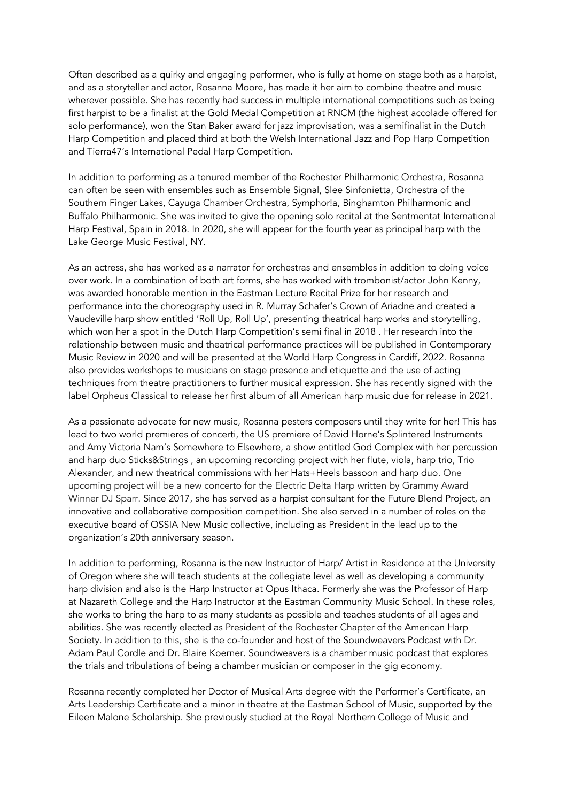Often described as a quirky and engaging performer, who is fully at home on stage both as a harpist, and as a storyteller and actor, Rosanna Moore, has made it her aim to combine theatre and music wherever possible. She has recently had success in multiple international competitions such as being first harpist to be a finalist at the Gold Medal Competition at RNCM (the highest accolade offered for solo performance), won the Stan Baker award for jazz improvisation, was a semifinalist in the Dutch Harp Competition and placed third at both the Welsh International Jazz and Pop Harp Competition and Tierra47's International Pedal Harp Competition.

In addition to performing as a tenured member of the Rochester Philharmonic Orchestra, Rosanna can often be seen with ensembles such as Ensemble Signal, Slee Sinfonietta, Orchestra of the Southern Finger Lakes, Cayuga Chamber Orchestra, Symphor!a, Binghamton Philharmonic and Buffalo Philharmonic. She was invited to give the opening solo recital at the Sentmentat International Harp Festival, Spain in 2018. In 2020, she will appear for the fourth year as principal harp with the Lake George Music Festival, NY.

As an actress, she has worked as a narrator for orchestras and ensembles in addition to doing voice over work. In a combination of both art forms, she has worked with trombonist/actor John Kenny, was awarded honorable mention in the Eastman Lecture Recital Prize for her research and performance into the choreography used in R. Murray Schafer's Crown of Ariadne and created a Vaudeville harp show entitled 'Roll Up, Roll Up', presenting theatrical harp works and storytelling, which won her a spot in the Dutch Harp Competition's semi final in 2018 . Her research into the relationship between music and theatrical performance practices will be published in Contemporary Music Review in 2020 and will be presented at the World Harp Congress in Cardiff, 2022. Rosanna also provides workshops to musicians on stage presence and etiquette and the use of acting techniques from theatre practitioners to further musical expression. She has recently signed with the label Orpheus Classical to release her first album of all American harp music due for release in 2021.

As a passionate advocate for new music, Rosanna pesters composers until they write for her! This has lead to two world premieres of concerti, the US premiere of David Horne's Splintered Instruments and Amy Victoria Nam's Somewhere to Elsewhere, a show entitled God Complex with her percussion and harp duo Sticks&Strings , an upcoming recording project with her flute, viola, harp trio, Trio Alexander, and new theatrical commissions with her Hats+Heels bassoon and harp duo. One upcoming project will be a new concerto for the Electric Delta Harp written by Grammy Award Winner DJ Sparr. Since 2017, she has served as a harpist consultant for the Future Blend Project, an innovative and collaborative composition competition. She also served in a number of roles on the executive board of OSSIA New Music collective, including as President in the lead up to the organization's 20th anniversary season.

In addition to performing, Rosanna is the new Instructor of Harp/ Artist in Residence at the University of Oregon where she will teach students at the collegiate level as well as developing a community harp division and also is the Harp Instructor at Opus Ithaca. Formerly she was the Professor of Harp at Nazareth College and the Harp Instructor at the Eastman Community Music School. In these roles, she works to bring the harp to as many students as possible and teaches students of all ages and abilities. She was recently elected as President of the Rochester Chapter of the American Harp Society. In addition to this, she is the co-founder and host of the Soundweavers Podcast with Dr. Adam Paul Cordle and Dr. Blaire Koerner. Soundweavers is a chamber music podcast that explores the trials and tribulations of being a chamber musician or composer in the gig economy.

Rosanna recently completed her Doctor of Musical Arts degree with the Performer's Certificate, an Arts Leadership Certificate and a minor in theatre at the Eastman School of Music, supported by the Eileen Malone Scholarship. She previously studied at the Royal Northern College of Music and